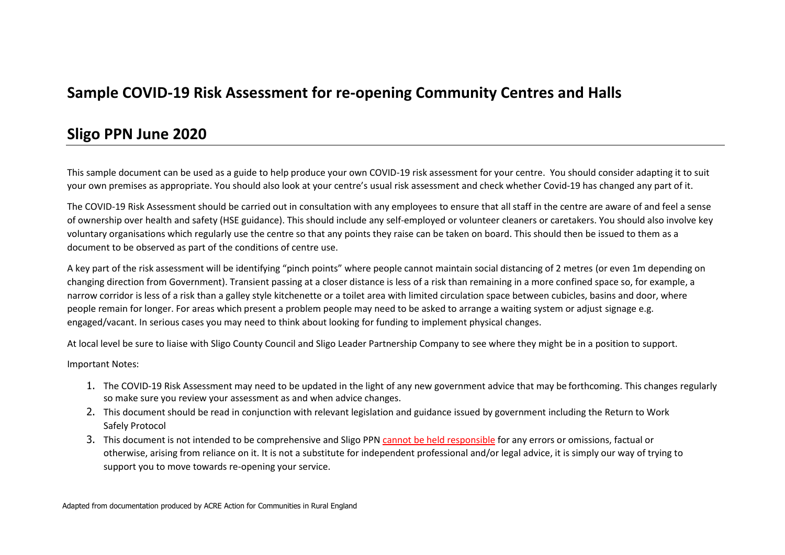## **Sample COVID-19 Risk Assessment for re-opening Community Centres and Halls**

### **Sligo PPN June 2020**

This sample document can be used as a guide to help produce your own COVID-19 risk assessment for your centre. You should consider adapting it to suit your own premises as appropriate. You should also look at your centre's usual risk assessment and check whether Covid-19 has changed any part of it.

The COVID-19 Risk Assessment should be carried out in consultation with any employees to ensure that all staff in the centre are aware of and feel a sense of ownership over health and safety (HSE guidance). This should include any self-employed or volunteer cleaners or caretakers. You should also involve key voluntary organisations which regularly use the centre so that any points they raise can be taken on board. This should then be issued to them as a document to be observed as part of the conditions of centre use.

A key part of the risk assessment will be identifying "pinch points" where people cannot maintain social distancing of 2 metres (or even 1m depending on changing direction from Government). Transient passing at a closer distance is less of a risk than remaining in a more confined space so, for example, a narrow corridor is less of a risk than a galley style kitchenette or a toilet area with limited circulation space between cubicles, basins and door, where people remain for longer. For areas which present a problem people may need to be asked to arrange a waiting system or adjust signage e.g. engaged/vacant. In serious cases you may need to think about looking for funding to implement physical changes.

At local level be sure to liaise with Sligo County Council and Sligo Leader Partnership Company to see where they might be in a position to support.

Important Notes:

- 1. The COVID-19 Risk Assessment may need to be updated in the light of any new government advice that may be forthcoming. This changes regularly so make sure you review your assessment as and when advice changes.
- 2. This document should be read in conjunction with relevant legislation and guidance issued by government including the Return to Work Safely Protocol
- 3. This document is not intended to be comprehensive and Sligo PPN cannot be held responsible for any errors or omissions, factual or otherwise, arising from reliance on it. It is not a substitute for independent professional and/or legal advice, it is simply our way of trying to support you to move towards re-opening your service.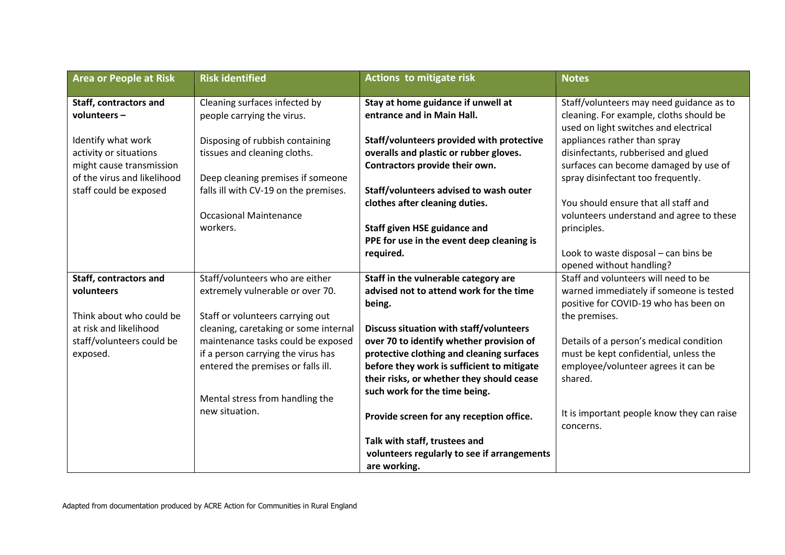| <b>Area or People at Risk</b>                                                     | <b>Risk identified</b>                                                    | <b>Actions to mitigate risk</b>                                                                                          | <b>Notes</b>                                                                                                       |
|-----------------------------------------------------------------------------------|---------------------------------------------------------------------------|--------------------------------------------------------------------------------------------------------------------------|--------------------------------------------------------------------------------------------------------------------|
| Staff, contractors and<br>volunteers $-$                                          | Cleaning surfaces infected by<br>people carrying the virus.               | Stay at home guidance if unwell at<br>entrance and in Main Hall.                                                         | Staff/volunteers may need guidance as to<br>cleaning. For example, cloths should be                                |
| Identify what work                                                                | Disposing of rubbish containing                                           | Staff/volunteers provided with protective                                                                                | used on light switches and electrical<br>appliances rather than spray                                              |
| activity or situations<br>might cause transmission<br>of the virus and likelihood | tissues and cleaning cloths.<br>Deep cleaning premises if someone         | overalls and plastic or rubber gloves.<br>Contractors provide their own.                                                 | disinfectants, rubberised and glued<br>surfaces can become damaged by use of<br>spray disinfectant too frequently. |
| staff could be exposed                                                            | falls ill with CV-19 on the premises.                                     | Staff/volunteers advised to wash outer<br>clothes after cleaning duties.                                                 | You should ensure that all staff and                                                                               |
|                                                                                   | <b>Occasional Maintenance</b><br>workers.                                 | <b>Staff given HSE guidance and</b>                                                                                      | volunteers understand and agree to these<br>principles.                                                            |
|                                                                                   |                                                                           | PPE for use in the event deep cleaning is<br>required.                                                                   | Look to waste disposal - can bins be<br>opened without handling?                                                   |
| Staff, contractors and                                                            | Staff/volunteers who are either                                           | Staff in the vulnerable category are                                                                                     | Staff and volunteers will need to be                                                                               |
| volunteers                                                                        | extremely vulnerable or over 70.                                          | advised not to attend work for the time<br>being.                                                                        | warned immediately if someone is tested<br>positive for COVID-19 who has been on                                   |
| Think about who could be<br>at risk and likelihood                                | Staff or volunteers carrying out<br>cleaning, caretaking or some internal | <b>Discuss situation with staff/volunteers</b>                                                                           | the premises.                                                                                                      |
| staff/volunteers could be<br>exposed.                                             | maintenance tasks could be exposed<br>if a person carrying the virus has  | over 70 to identify whether provision of<br>protective clothing and cleaning surfaces                                    | Details of a person's medical condition<br>must be kept confidential, unless the                                   |
|                                                                                   | entered the premises or falls ill.                                        | before they work is sufficient to mitigate<br>their risks, or whether they should cease<br>such work for the time being. | employee/volunteer agrees it can be<br>shared.                                                                     |
|                                                                                   | Mental stress from handling the<br>new situation.                         | Provide screen for any reception office.                                                                                 | It is important people know they can raise                                                                         |
|                                                                                   |                                                                           | Talk with staff, trustees and                                                                                            | concerns.                                                                                                          |
|                                                                                   |                                                                           | volunteers regularly to see if arrangements<br>are working.                                                              |                                                                                                                    |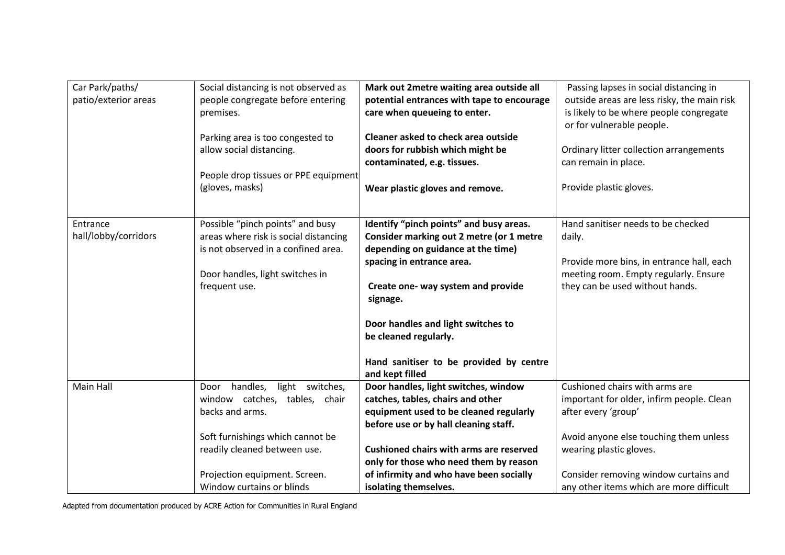| Car Park/paths/      | Social distancing is not observed as  | Mark out 2metre waiting area outside all       | Passing lapses in social distancing in      |
|----------------------|---------------------------------------|------------------------------------------------|---------------------------------------------|
| patio/exterior areas | people congregate before entering     | potential entrances with tape to encourage     | outside areas are less risky, the main risk |
|                      | premises.                             | care when queueing to enter.                   | is likely to be where people congregate     |
|                      |                                       |                                                | or for vulnerable people.                   |
|                      | Parking area is too congested to      | Cleaner asked to check area outside            |                                             |
|                      | allow social distancing.              | doors for rubbish which might be               | Ordinary litter collection arrangements     |
|                      |                                       | contaminated, e.g. tissues.                    | can remain in place.                        |
|                      | People drop tissues or PPE equipment  |                                                |                                             |
|                      | (gloves, masks)                       | Wear plastic gloves and remove.                | Provide plastic gloves.                     |
|                      |                                       |                                                |                                             |
|                      |                                       |                                                |                                             |
| Entrance             | Possible "pinch points" and busy      | Identify "pinch points" and busy areas.        | Hand sanitiser needs to be checked          |
| hall/lobby/corridors | areas where risk is social distancing | Consider marking out 2 metre (or 1 metre       | daily.                                      |
|                      | is not observed in a confined area.   | depending on guidance at the time)             |                                             |
|                      |                                       | spacing in entrance area.                      | Provide more bins, in entrance hall, each   |
|                      | Door handles, light switches in       |                                                | meeting room. Empty regularly. Ensure       |
|                      | frequent use.                         | Create one- way system and provide             | they can be used without hands.             |
|                      |                                       | signage.                                       |                                             |
|                      |                                       | Door handles and light switches to             |                                             |
|                      |                                       | be cleaned regularly.                          |                                             |
|                      |                                       |                                                |                                             |
|                      |                                       | Hand sanitiser to be provided by centre        |                                             |
|                      |                                       | and kept filled                                |                                             |
| Main Hall            | handles, light switches,<br>Door      | Door handles, light switches, window           | Cushioned chairs with arms are              |
|                      | window catches, tables, chair         | catches, tables, chairs and other              | important for older, infirm people. Clean   |
|                      | backs and arms.                       | equipment used to be cleaned regularly         | after every 'group'                         |
|                      |                                       | before use or by hall cleaning staff.          |                                             |
|                      | Soft furnishings which cannot be      |                                                | Avoid anyone else touching them unless      |
|                      | readily cleaned between use.          | <b>Cushioned chairs with arms are reserved</b> | wearing plastic gloves.                     |
|                      |                                       | only for those who need them by reason         |                                             |
|                      | Projection equipment. Screen.         | of infirmity and who have been socially        | Consider removing window curtains and       |
|                      | Window curtains or blinds             | isolating themselves.                          | any other items which are more difficult    |

Adapted from documentation produced by ACRE Action for Communities in Rural England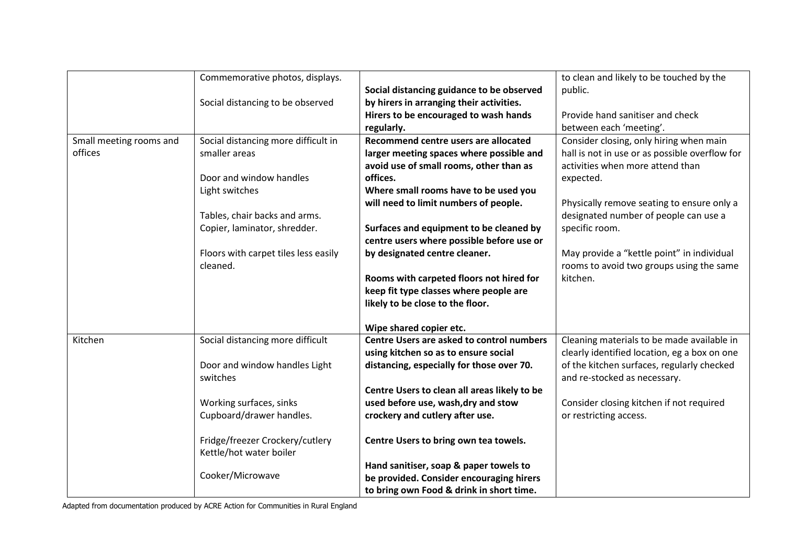|                         | Commemorative photos, displays.      |                                              | to clean and likely to be touched by the       |
|-------------------------|--------------------------------------|----------------------------------------------|------------------------------------------------|
|                         |                                      | Social distancing guidance to be observed    | public.                                        |
|                         | Social distancing to be observed     | by hirers in arranging their activities.     |                                                |
|                         |                                      | Hirers to be encouraged to wash hands        | Provide hand sanitiser and check               |
|                         |                                      | regularly.                                   | between each 'meeting'.                        |
| Small meeting rooms and | Social distancing more difficult in  | Recommend centre users are allocated         | Consider closing, only hiring when main        |
| offices                 | smaller areas                        | larger meeting spaces where possible and     | hall is not in use or as possible overflow for |
|                         |                                      | avoid use of small rooms, other than as      | activities when more attend than               |
|                         | Door and window handles              | offices.                                     | expected.                                      |
|                         | Light switches                       | Where small rooms have to be used you        |                                                |
|                         |                                      | will need to limit numbers of people.        | Physically remove seating to ensure only a     |
|                         | Tables, chair backs and arms.        |                                              | designated number of people can use a          |
|                         | Copier, laminator, shredder.         | Surfaces and equipment to be cleaned by      | specific room.                                 |
|                         |                                      | centre users where possible before use or    |                                                |
|                         | Floors with carpet tiles less easily | by designated centre cleaner.                | May provide a "kettle point" in individual     |
|                         | cleaned.                             |                                              | rooms to avoid two groups using the same       |
|                         |                                      | Rooms with carpeted floors not hired for     | kitchen.                                       |
|                         |                                      | keep fit type classes where people are       |                                                |
|                         |                                      | likely to be close to the floor.             |                                                |
|                         |                                      |                                              |                                                |
|                         |                                      | Wipe shared copier etc.                      |                                                |
| Kitchen                 | Social distancing more difficult     | Centre Users are asked to control numbers    | Cleaning materials to be made available in     |
|                         |                                      | using kitchen so as to ensure social         | clearly identified location, eg a box on one   |
|                         | Door and window handles Light        | distancing, especially for those over 70.    | of the kitchen surfaces, regularly checked     |
|                         | switches                             |                                              | and re-stocked as necessary.                   |
|                         |                                      | Centre Users to clean all areas likely to be |                                                |
|                         | Working surfaces, sinks              | used before use, wash, dry and stow          | Consider closing kitchen if not required       |
|                         | Cupboard/drawer handles.             | crockery and cutlery after use.              | or restricting access.                         |
|                         |                                      |                                              |                                                |
|                         | Fridge/freezer Crockery/cutlery      | Centre Users to bring own tea towels.        |                                                |
|                         | Kettle/hot water boiler              |                                              |                                                |
|                         |                                      | Hand sanitiser, soap & paper towels to       |                                                |
|                         | Cooker/Microwave                     | be provided. Consider encouraging hirers     |                                                |
|                         |                                      | to bring own Food & drink in short time.     |                                                |

Adapted from documentation produced by ACRE Action for Communities in Rural England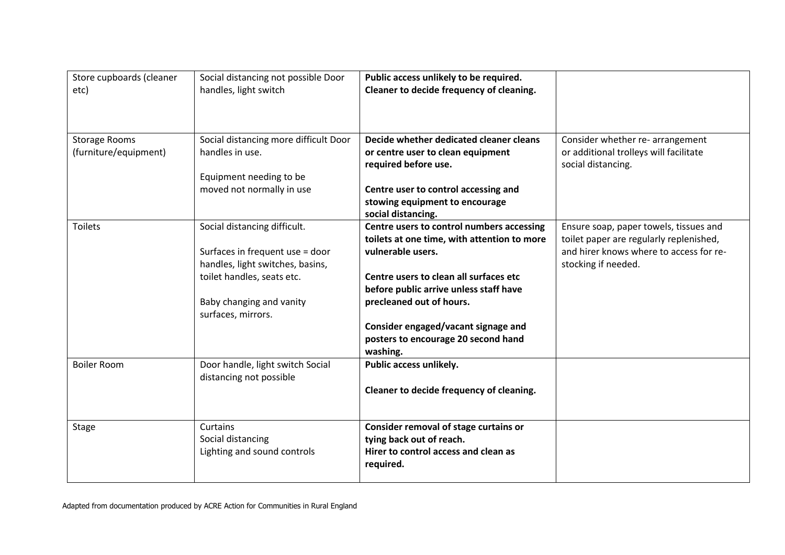| Store cupboards (cleaner<br>etc)              | Social distancing not possible Door<br>handles, light switch | Public access unlikely to be required.<br>Cleaner to decide frequency of cleaning. |                                                                            |
|-----------------------------------------------|--------------------------------------------------------------|------------------------------------------------------------------------------------|----------------------------------------------------------------------------|
| <b>Storage Rooms</b><br>(furniture/equipment) | Social distancing more difficult Door<br>handles in use.     | Decide whether dedicated cleaner cleans<br>or centre user to clean equipment       | Consider whether re- arrangement<br>or additional trolleys will facilitate |
|                                               |                                                              | required before use.                                                               | social distancing.                                                         |
|                                               | Equipment needing to be                                      |                                                                                    |                                                                            |
|                                               | moved not normally in use                                    | Centre user to control accessing and                                               |                                                                            |
|                                               |                                                              | stowing equipment to encourage<br>social distancing.                               |                                                                            |
| <b>Toilets</b>                                | Social distancing difficult.                                 | Centre users to control numbers accessing                                          | Ensure soap, paper towels, tissues and                                     |
|                                               |                                                              | toilets at one time, with attention to more                                        | toilet paper are regularly replenished,                                    |
|                                               | Surfaces in frequent use = door                              | vulnerable users.                                                                  | and hirer knows where to access for re-                                    |
|                                               | handles, light switches, basins,                             |                                                                                    | stocking if needed.                                                        |
|                                               | toilet handles, seats etc.                                   | Centre users to clean all surfaces etc                                             |                                                                            |
|                                               |                                                              | before public arrive unless staff have                                             |                                                                            |
|                                               | Baby changing and vanity                                     | precleaned out of hours.                                                           |                                                                            |
|                                               | surfaces, mirrors.                                           |                                                                                    |                                                                            |
|                                               |                                                              | Consider engaged/vacant signage and                                                |                                                                            |
|                                               |                                                              | posters to encourage 20 second hand<br>washing.                                    |                                                                            |
| <b>Boiler Room</b>                            | Door handle, light switch Social                             | Public access unlikely.                                                            |                                                                            |
|                                               | distancing not possible                                      |                                                                                    |                                                                            |
|                                               |                                                              | Cleaner to decide frequency of cleaning.                                           |                                                                            |
|                                               |                                                              |                                                                                    |                                                                            |
|                                               |                                                              |                                                                                    |                                                                            |
| <b>Stage</b>                                  | Curtains                                                     | Consider removal of stage curtains or                                              |                                                                            |
|                                               | Social distancing                                            | tying back out of reach.                                                           |                                                                            |
|                                               | Lighting and sound controls                                  | Hirer to control access and clean as                                               |                                                                            |
|                                               |                                                              | required.                                                                          |                                                                            |
|                                               |                                                              |                                                                                    |                                                                            |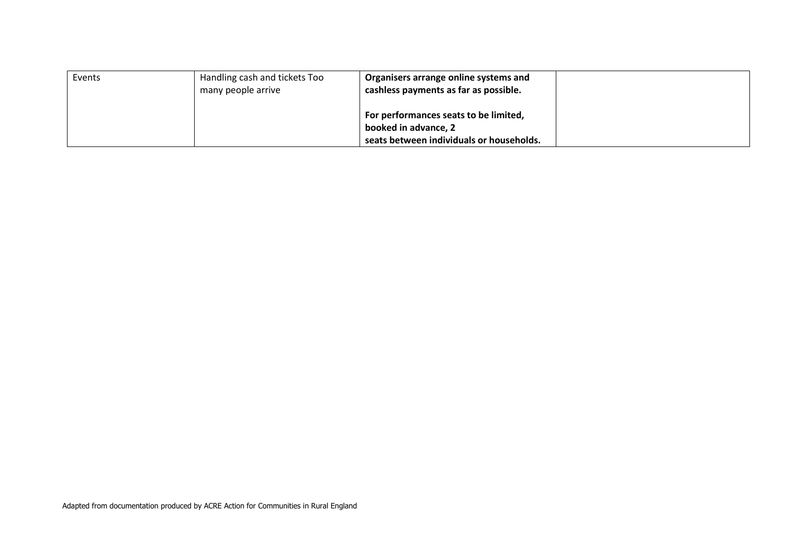| Events | Handling cash and tickets Too<br>many people arrive | Organisers arrange online systems and<br>cashless payments as far as possible.                            |  |
|--------|-----------------------------------------------------|-----------------------------------------------------------------------------------------------------------|--|
|        |                                                     | For performances seats to be limited,<br>booked in advance, 2<br>seats between individuals or households. |  |